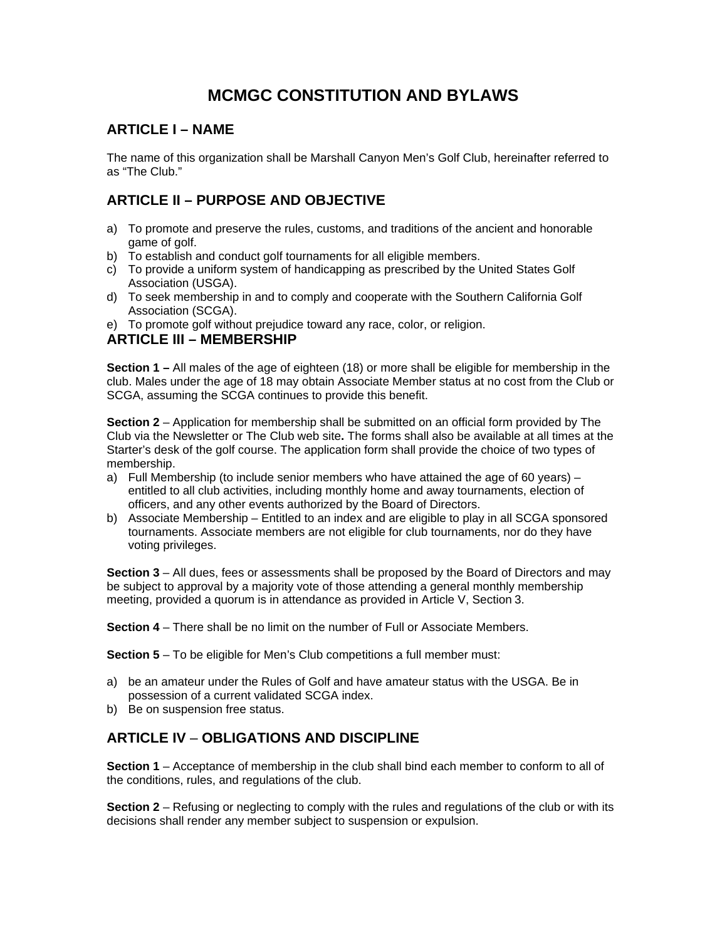# **MCMGC CONSTITUTION AND BYLAWS**

# **ARTICLE I – NAME**

The name of this organization shall be Marshall Canyon Men's Golf Club, hereinafter referred to as "The Club."

# **ARTICLE II – PURPOSE AND OBJECTIVE**

- a) To promote and preserve the rules, customs, and traditions of the ancient and honorable game of golf.
- b) To establish and conduct golf tournaments for all eligible members.
- c) To provide a uniform system of handicapping as prescribed by the United States Golf Association (USGA).
- d) To seek membership in and to comply and cooperate with the Southern California Golf Association (SCGA).
- e) To promote golf without prejudice toward any race, color, or religion.

## **ARTICLE III – MEMBERSHIP**

**Section 1 –** All males of the age of eighteen (18) or more shall be eligible for membership in the club. Males under the age of 18 may obtain Associate Member status at no cost from the Club or SCGA, assuming the SCGA continues to provide this benefit.

**Section 2** – Application for membership shall be submitted on an official form provided by The Club via the Newsletter or The Club web site**.** The forms shall also be available at all times at the Starter's desk of the golf course. The application form shall provide the choice of two types of membership.

- a) Full Membership (to include senior members who have attained the age of 60 years) entitled to all club activities, including monthly home and away tournaments, election of officers, and any other events authorized by the Board of Directors.
- b) Associate Membership Entitled to an index and are eligible to play in all SCGA sponsored tournaments. Associate members are not eligible for club tournaments, nor do they have voting privileges.

**Section 3** – All dues, fees or assessments shall be proposed by the Board of Directors and may be subject to approval by a majority vote of those attending a general monthly membership meeting, provided a quorum is in attendance as provided in Article V, Section 3.

**Section 4** – There shall be no limit on the number of Full or Associate Members.

**Section 5** – To be eligible for Men's Club competitions a full member must:

- a) be an amateur under the Rules of Golf and have amateur status with the USGA. Be in possession of a current validated SCGA index.
- b) Be on suspension free status.

## **ARTICLE IV** – **OBLIGATIONS AND DISCIPLINE**

**Section 1** – Acceptance of membership in the club shall bind each member to conform to all of the conditions, rules, and regulations of the club.

**Section 2** – Refusing or neglecting to comply with the rules and regulations of the club or with its decisions shall render any member subject to suspension or expulsion.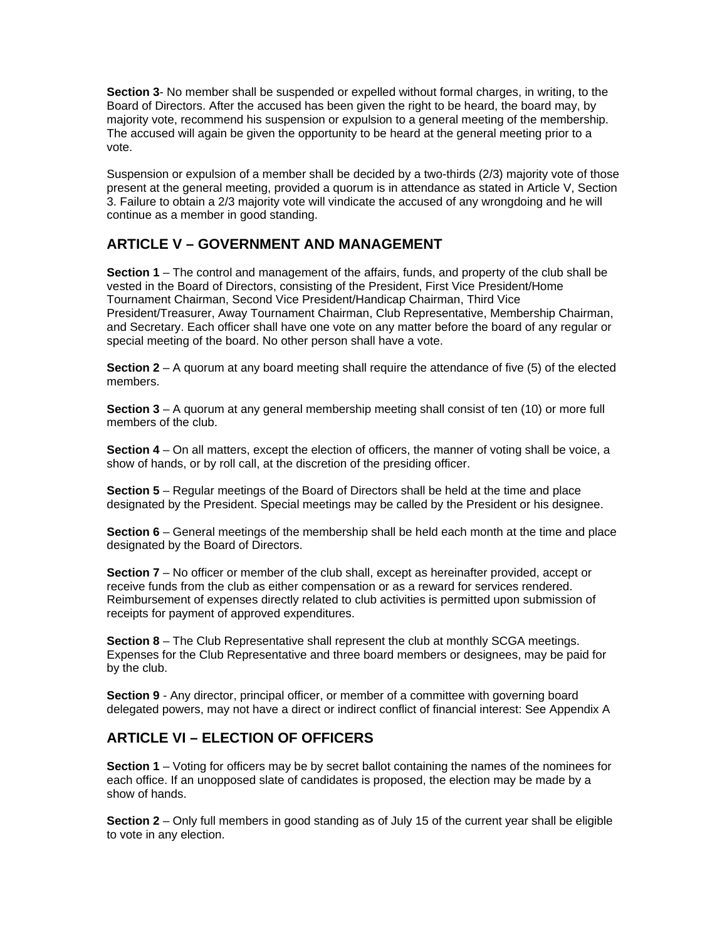**Section 3**- No member shall be suspended or expelled without formal charges, in writing, to the Board of Directors. After the accused has been given the right to be heard, the board may, by majority vote, recommend his suspension or expulsion to a general meeting of the membership. The accused will again be given the opportunity to be heard at the general meeting prior to a vote.

Suspension or expulsion of a member shall be decided by a two-thirds (2/3) majority vote of those present at the general meeting, provided a quorum is in attendance as stated in Article V, Section 3. Failure to obtain a 2/3 majority vote will vindicate the accused of any wrongdoing and he will continue as a member in good standing.

# **ARTICLE V – GOVERNMENT AND MANAGEMENT**

**Section 1** – The control and management of the affairs, funds, and property of the club shall be vested in the Board of Directors, consisting of the President, First Vice President/Home Tournament Chairman, Second Vice President/Handicap Chairman, Third Vice President/Treasurer, Away Tournament Chairman, Club Representative, Membership Chairman, and Secretary. Each officer shall have one vote on any matter before the board of any regular or special meeting of the board. No other person shall have a vote.

**Section 2** – A quorum at any board meeting shall require the attendance of five (5) of the elected members.

**Section 3** – A quorum at any general membership meeting shall consist of ten (10) or more full members of the club.

**Section 4** – On all matters, except the election of officers, the manner of voting shall be voice, a show of hands, or by roll call, at the discretion of the presiding officer.

**Section 5** – Regular meetings of the Board of Directors shall be held at the time and place designated by the President. Special meetings may be called by the President or his designee.

**Section 6** – General meetings of the membership shall be held each month at the time and place designated by the Board of Directors.

**Section 7** – No officer or member of the club shall, except as hereinafter provided, accept or receive funds from the club as either compensation or as a reward for services rendered. Reimbursement of expenses directly related to club activities is permitted upon submission of receipts for payment of approved expenditures.

**Section 8** – The Club Representative shall represent the club at monthly SCGA meetings. Expenses for the Club Representative and three board members or designees, may be paid for by the club.

**Section 9** - Any director, principal officer, or member of a committee with governing board delegated powers, may not have a direct or indirect conflict of financial interest: See Appendix A

## **ARTICLE VI – ELECTION OF OFFICERS**

**Section 1** – Voting for officers may be by secret ballot containing the names of the nominees for each office. If an unopposed slate of candidates is proposed, the election may be made by a show of hands.

**Section 2** – Only full members in good standing as of July 15 of the current year shall be eligible to vote in any election.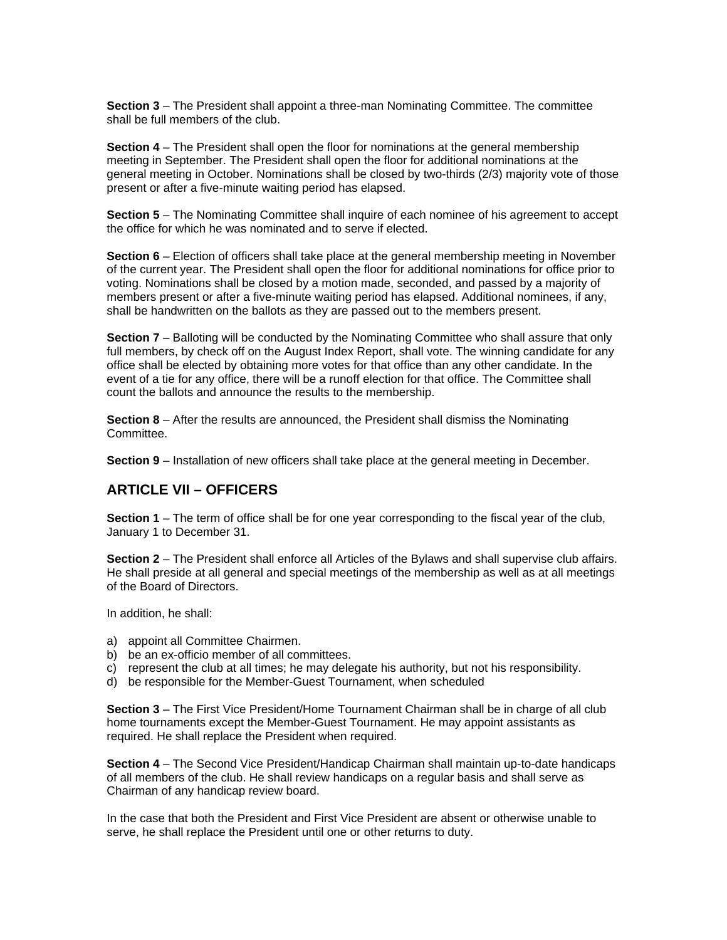**Section 3** – The President shall appoint a three-man Nominating Committee. The committee shall be full members of the club.

**Section 4** – The President shall open the floor for nominations at the general membership meeting in September. The President shall open the floor for additional nominations at the general meeting in October. Nominations shall be closed by two-thirds (2/3) majority vote of those present or after a five-minute waiting period has elapsed.

**Section 5** – The Nominating Committee shall inquire of each nominee of his agreement to accept the office for which he was nominated and to serve if elected.

**Section 6** – Election of officers shall take place at the general membership meeting in November of the current year. The President shall open the floor for additional nominations for office prior to voting. Nominations shall be closed by a motion made, seconded, and passed by a majority of members present or after a five-minute waiting period has elapsed. Additional nominees, if any, shall be handwritten on the ballots as they are passed out to the members present.

**Section 7** – Balloting will be conducted by the Nominating Committee who shall assure that only full members, by check off on the August Index Report, shall vote. The winning candidate for any office shall be elected by obtaining more votes for that office than any other candidate. In the event of a tie for any office, there will be a runoff election for that office. The Committee shall count the ballots and announce the results to the membership.

**Section 8** – After the results are announced, the President shall dismiss the Nominating Committee.

**Section 9** – Installation of new officers shall take place at the general meeting in December.

## **ARTICLE VII – OFFICERS**

**Section 1** – The term of office shall be for one year corresponding to the fiscal year of the club, January 1 to December 31.

**Section 2** – The President shall enforce all Articles of the Bylaws and shall supervise club affairs. He shall preside at all general and special meetings of the membership as well as at all meetings of the Board of Directors.

In addition, he shall:

- a) appoint all Committee Chairmen.
- b) be an ex-officio member of all committees.
- c) represent the club at all times; he may delegate his authority, but not his responsibility.
- d) be responsible for the Member-Guest Tournament, when scheduled

**Section 3** – The First Vice President/Home Tournament Chairman shall be in charge of all club home tournaments except the Member-Guest Tournament. He may appoint assistants as required. He shall replace the President when required.

**Section 4** – The Second Vice President/Handicap Chairman shall maintain up-to-date handicaps of all members of the club. He shall review handicaps on a regular basis and shall serve as Chairman of any handicap review board.

In the case that both the President and First Vice President are absent or otherwise unable to serve, he shall replace the President until one or other returns to duty.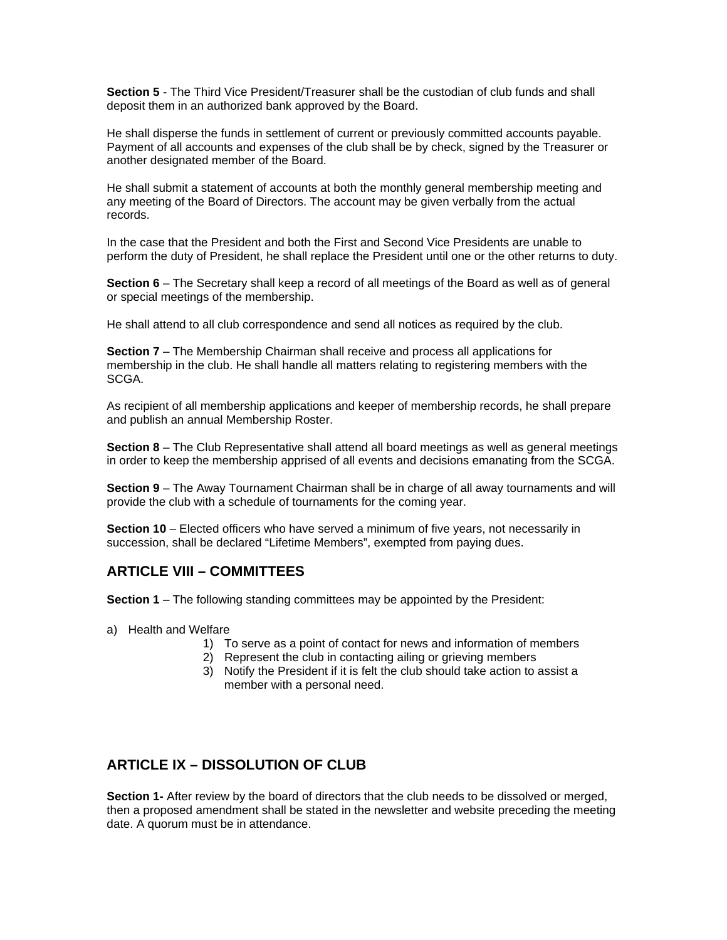**Section 5** - The Third Vice President/Treasurer shall be the custodian of club funds and shall deposit them in an authorized bank approved by the Board.

He shall disperse the funds in settlement of current or previously committed accounts payable. Payment of all accounts and expenses of the club shall be by check, signed by the Treasurer or another designated member of the Board.

He shall submit a statement of accounts at both the monthly general membership meeting and any meeting of the Board of Directors. The account may be given verbally from the actual records.

In the case that the President and both the First and Second Vice Presidents are unable to perform the duty of President, he shall replace the President until one or the other returns to duty.

**Section 6** – The Secretary shall keep a record of all meetings of the Board as well as of general or special meetings of the membership.

He shall attend to all club correspondence and send all notices as required by the club.

**Section 7** – The Membership Chairman shall receive and process all applications for membership in the club. He shall handle all matters relating to registering members with the SCGA.

As recipient of all membership applications and keeper of membership records, he shall prepare and publish an annual Membership Roster.

**Section 8** – The Club Representative shall attend all board meetings as well as general meetings in order to keep the membership apprised of all events and decisions emanating from the SCGA.

**Section 9** – The Away Tournament Chairman shall be in charge of all away tournaments and will provide the club with a schedule of tournaments for the coming year.

**Section 10** – Elected officers who have served a minimum of five years, not necessarily in succession, shall be declared "Lifetime Members", exempted from paying dues.

## **ARTICLE VIII – COMMITTEES**

**Section 1** – The following standing committees may be appointed by the President:

- a) Health and Welfare
	- 1) To serve as a point of contact for news and information of members
	- 2) Represent the club in contacting ailing or grieving members
	- 3) Notify the President if it is felt the club should take action to assist a member with a personal need.

## **ARTICLE IX – DISSOLUTION OF CLUB**

**Section 1-** After review by the board of directors that the club needs to be dissolved or merged, then a proposed amendment shall be stated in the newsletter and website preceding the meeting date. A quorum must be in attendance.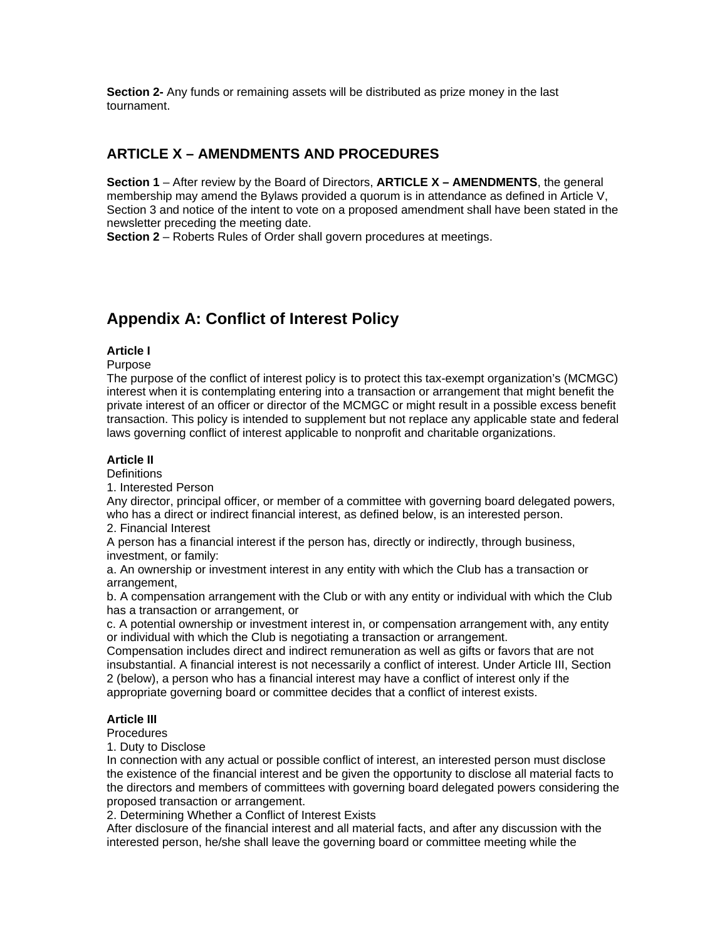**Section 2-** Any funds or remaining assets will be distributed as prize money in the last tournament.

# **ARTICLE X – AMENDMENTS AND PROCEDURES**

**Section 1** – After review by the Board of Directors, **ARTICLE X – AMENDMENTS**, the general membership may amend the Bylaws provided a quorum is in attendance as defined in Article V, Section 3 and notice of the intent to vote on a proposed amendment shall have been stated in the newsletter preceding the meeting date.

**Section 2** – Roberts Rules of Order shall govern procedures at meetings.

# **Appendix A: Conflict of Interest Policy**

## **Article I**

Purpose

The purpose of the conflict of interest policy is to protect this tax-exempt organization's (MCMGC) interest when it is contemplating entering into a transaction or arrangement that might benefit the private interest of an officer or director of the MCMGC or might result in a possible excess benefit transaction. This policy is intended to supplement but not replace any applicable state and federal laws governing conflict of interest applicable to nonprofit and charitable organizations.

## **Article II**

**Definitions** 

1. Interested Person

Any director, principal officer, or member of a committee with governing board delegated powers, who has a direct or indirect financial interest, as defined below, is an interested person. 2. Financial Interest

A person has a financial interest if the person has, directly or indirectly, through business, investment, or family:

a. An ownership or investment interest in any entity with which the Club has a transaction or arrangement,

b. A compensation arrangement with the Club or with any entity or individual with which the Club has a transaction or arrangement, or

c. A potential ownership or investment interest in, or compensation arrangement with, any entity or individual with which the Club is negotiating a transaction or arrangement.

Compensation includes direct and indirect remuneration as well as gifts or favors that are not insubstantial. A financial interest is not necessarily a conflict of interest. Under Article III, Section 2 (below), a person who has a financial interest may have a conflict of interest only if the appropriate governing board or committee decides that a conflict of interest exists.

## **Article III**

**Procedures** 

1. Duty to Disclose

In connection with any actual or possible conflict of interest, an interested person must disclose the existence of the financial interest and be given the opportunity to disclose all material facts to the directors and members of committees with governing board delegated powers considering the proposed transaction or arrangement.

2. Determining Whether a Conflict of Interest Exists

After disclosure of the financial interest and all material facts, and after any discussion with the interested person, he/she shall leave the governing board or committee meeting while the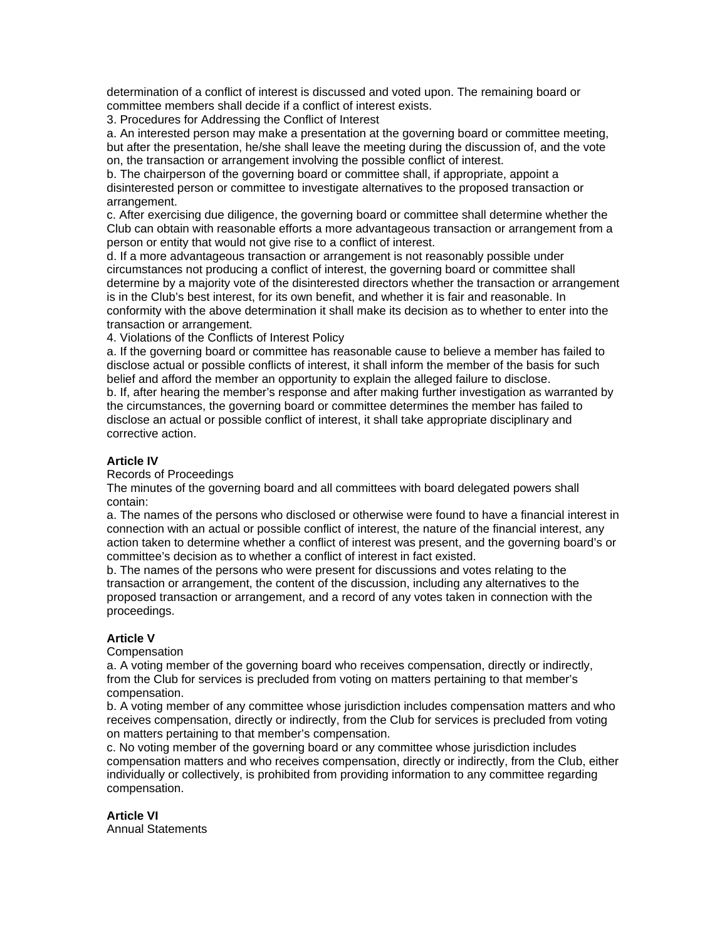determination of a conflict of interest is discussed and voted upon. The remaining board or committee members shall decide if a conflict of interest exists.

3. Procedures for Addressing the Conflict of Interest

a. An interested person may make a presentation at the governing board or committee meeting, but after the presentation, he/she shall leave the meeting during the discussion of, and the vote on, the transaction or arrangement involving the possible conflict of interest.

b. The chairperson of the governing board or committee shall, if appropriate, appoint a disinterested person or committee to investigate alternatives to the proposed transaction or arrangement.

c. After exercising due diligence, the governing board or committee shall determine whether the Club can obtain with reasonable efforts a more advantageous transaction or arrangement from a person or entity that would not give rise to a conflict of interest.

d. If a more advantageous transaction or arrangement is not reasonably possible under circumstances not producing a conflict of interest, the governing board or committee shall determine by a majority vote of the disinterested directors whether the transaction or arrangement is in the Club's best interest, for its own benefit, and whether it is fair and reasonable. In conformity with the above determination it shall make its decision as to whether to enter into the transaction or arrangement.

4. Violations of the Conflicts of Interest Policy

a. If the governing board or committee has reasonable cause to believe a member has failed to disclose actual or possible conflicts of interest, it shall inform the member of the basis for such belief and afford the member an opportunity to explain the alleged failure to disclose.

b. If, after hearing the member's response and after making further investigation as warranted by the circumstances, the governing board or committee determines the member has failed to disclose an actual or possible conflict of interest, it shall take appropriate disciplinary and corrective action.

### **Article IV**

Records of Proceedings

The minutes of the governing board and all committees with board delegated powers shall contain:

a. The names of the persons who disclosed or otherwise were found to have a financial interest in connection with an actual or possible conflict of interest, the nature of the financial interest, any action taken to determine whether a conflict of interest was present, and the governing board's or committee's decision as to whether a conflict of interest in fact existed.

b. The names of the persons who were present for discussions and votes relating to the transaction or arrangement, the content of the discussion, including any alternatives to the proposed transaction or arrangement, and a record of any votes taken in connection with the proceedings.

#### **Article V**

**Compensation** 

a. A voting member of the governing board who receives compensation, directly or indirectly, from the Club for services is precluded from voting on matters pertaining to that member's compensation.

b. A voting member of any committee whose jurisdiction includes compensation matters and who receives compensation, directly or indirectly, from the Club for services is precluded from voting on matters pertaining to that member's compensation.

c. No voting member of the governing board or any committee whose jurisdiction includes compensation matters and who receives compensation, directly or indirectly, from the Club, either individually or collectively, is prohibited from providing information to any committee regarding compensation.

**Article VI**  Annual Statements